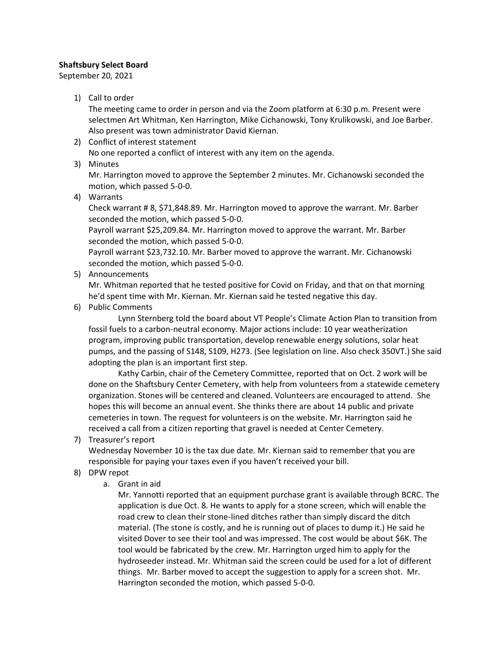## **Shaftsbury Select Board**

September 20, 2021

1) Call to order

The meeting came to order in person and via the Zoom platform at 6:30 p.m. Present were selectmen Art Whitman, Ken Harrington, Mike Cichanowski, Tony Krulikowski, and Joe Barber. Also present was town administrator David Kiernan.

- 2) Conflict of interest statement No one reported a conflict of interest with any item on the agenda.
- 3) Minutes

Mr. Harrington moved to approve the September 2 minutes. Mr. Cichanowski seconded the motion, which passed 5-0-0.

4) Warrants

Check warrant # 8, \$71,848.89. Mr. Harrington moved to approve the warrant. Mr. Barber seconded the motion, which passed 5-0-0.

Payroll warrant \$25,209.84. Mr. Harrington moved to approve the warrant. Mr. Barber seconded the motion, which passed 5-0-0.

Payroll warrant \$23,732.10. Mr. Barber moved to approve the warrant. Mr. Cichanowski seconded the motion, which passed 5-0-0.

5) Announcements

Mr. Whitman reported that he tested positive for Covid on Friday, and that on that morning he'd spent time with Mr. Kiernan. Mr. Kiernan said he tested negative this day.

6) Public Comments

Lynn Sternberg told the board about VT People's Climate Action Plan to transition from fossil fuels to a carbon-neutral economy. Major actions include: 10 year weatherization program, improving public transportation, develop renewable energy solutions, solar heat pumps, and the passing of S148, S109, H273. (See legislation on line. Also check 350VT.) She said adopting the plan is an important first step.

Kathy Carbin, chair of the Cemetery Committee, reported that on Oct. 2 work will be done on the Shaftsbury Center Cemetery, with help from volunteers from a statewide cemetery organization. Stones will be centered and cleaned. Volunteers are encouraged to attend. She hopes this will become an annual event. She thinks there are about 14 public and private cemeteries in town. The request for volunteers is on the website. Mr. Harrington said he received a call from a citizen reporting that gravel is needed at Center Cemetery.

7) Treasurer's report

Wednesday November 10 is the tax due date. Mr. Kiernan said to remember that you are responsible for paying your taxes even if you haven't received your bill.

- 8) DPW repot
	- a. Grant in aid

Mr. Yannotti reported that an equipment purchase grant is available through BCRC. The application is due Oct. 8. He wants to apply for a stone screen, which will enable the road crew to clean their stone-lined ditches rather than simply discard the ditch material. (The stone is costly, and he is running out of places to dump it.) He said he visited Dover to see their tool and was impressed. The cost would be about \$6K. The tool would be fabricated by the crew. Mr. Harrington urged him to apply for the hydroseeder instead. Mr. Whitman said the screen could be used for a lot of different things. Mr. Barber moved to accept the suggestion to apply for a screen shot. Mr. Harrington seconded the motion, which passed 5-0-0.